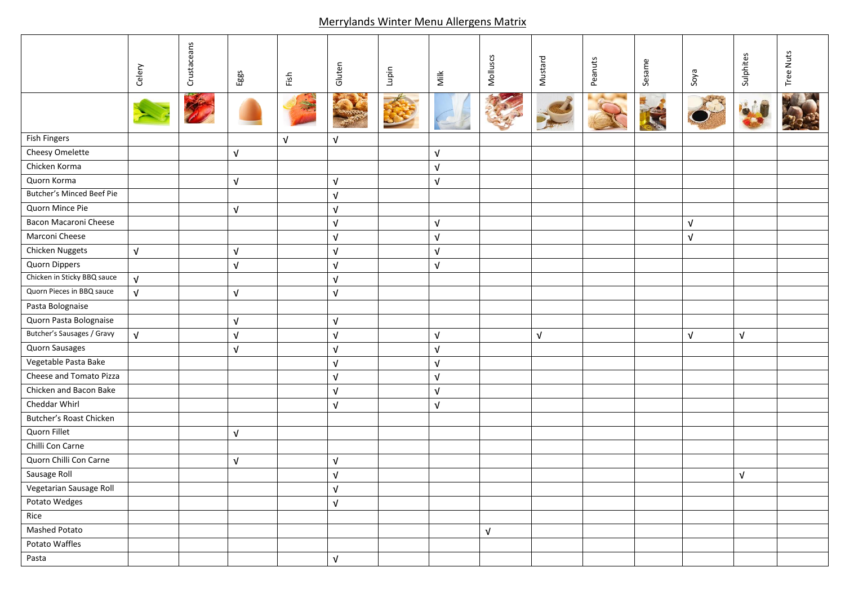## Merrylands Winter Menu Allergens Matrix

|                             | Celery     | Crustaceans | Eggs                      | Fish       | Gluten     | Lupin | Milk       | Molluscs   | Mustard    | Peanuts | Sesame | Soya       | Sulphites  | <b>Tree Nuts</b> |
|-----------------------------|------------|-------------|---------------------------|------------|------------|-------|------------|------------|------------|---------|--------|------------|------------|------------------|
|                             |            |             |                           |            |            |       |            |            |            |         |        |            |            |                  |
| <b>Fish Fingers</b>         |            |             |                           | $\sqrt{ }$ | $\sqrt{ }$ |       |            |            |            |         |        |            |            |                  |
| Cheesy Omelette             |            |             | $\sqrt{ }$                |            |            |       | $\sqrt{ }$ |            |            |         |        |            |            |                  |
| Chicken Korma               |            |             |                           |            |            |       | $\sqrt{ }$ |            |            |         |        |            |            |                  |
| Quorn Korma                 |            |             | $\sqrt{ }$                |            | $\sqrt{ }$ |       | $\sqrt{ }$ |            |            |         |        |            |            |                  |
| Butcher's Minced Beef Pie   |            |             |                           |            | $\sqrt{ }$ |       |            |            |            |         |        |            |            |                  |
| Quorn Mince Pie             |            |             | $\sqrt{ }$                |            | $\sqrt{ }$ |       |            |            |            |         |        |            |            |                  |
| Bacon Macaroni Cheese       |            |             |                           |            | $\sqrt{ }$ |       | $\sqrt{ }$ |            |            |         |        | $\sqrt{ }$ |            |                  |
| Marconi Cheese              |            |             |                           |            | $\sqrt{ }$ |       | $\sqrt{ }$ |            |            |         |        | $\sqrt{ }$ |            |                  |
| Chicken Nuggets             | $\sqrt{ }$ |             | $\ensuremath{\mathsf{V}}$ |            | $\sqrt{ }$ |       | $\sqrt{ }$ |            |            |         |        |            |            |                  |
| Quorn Dippers               |            |             | $\sqrt{ }$                |            | $\sqrt{ }$ |       | $\sqrt{ }$ |            |            |         |        |            |            |                  |
| Chicken in Sticky BBQ sauce | $\sqrt{ }$ |             |                           |            | $\sqrt{ }$ |       |            |            |            |         |        |            |            |                  |
| Quorn Pieces in BBQ sauce   | $\sqrt{ }$ |             | $\sqrt{ }$                |            | $\sqrt{ }$ |       |            |            |            |         |        |            |            |                  |
| Pasta Bolognaise            |            |             |                           |            |            |       |            |            |            |         |        |            |            |                  |
| Quorn Pasta Bolognaise      |            |             | $\sqrt{ }$                |            | $\sqrt{ }$ |       |            |            |            |         |        |            |            |                  |
| Butcher's Sausages / Gravy  | $\sqrt{ }$ |             | $\sqrt{ }$                |            | $\sqrt{ }$ |       | $\sqrt{ }$ |            | $\sqrt{ }$ |         |        | $\sqrt{ }$ | $\sqrt{ }$ |                  |
| Quorn Sausages              |            |             | $\sqrt{ }$                |            | $\sqrt{ }$ |       | $\sqrt{ }$ |            |            |         |        |            |            |                  |
| Vegetable Pasta Bake        |            |             |                           |            | $\sqrt{ }$ |       | $\sqrt{ }$ |            |            |         |        |            |            |                  |
| Cheese and Tomato Pizza     |            |             |                           |            | $\sqrt{ }$ |       | $\sqrt{ }$ |            |            |         |        |            |            |                  |
| Chicken and Bacon Bake      |            |             |                           |            | $\sqrt{ }$ |       | $\sqrt{ }$ |            |            |         |        |            |            |                  |
| Cheddar Whirl               |            |             |                           |            | $\sqrt{ }$ |       | $\sqrt{ }$ |            |            |         |        |            |            |                  |
| Butcher's Roast Chicken     |            |             |                           |            |            |       |            |            |            |         |        |            |            |                  |
| Quorn Fillet                |            |             | $\sqrt{ }$                |            |            |       |            |            |            |         |        |            |            |                  |
| Chilli Con Carne            |            |             |                           |            |            |       |            |            |            |         |        |            |            |                  |
| Quorn Chilli Con Carne      |            |             | $\sqrt{ }$                |            | $\sqrt{ }$ |       |            |            |            |         |        |            |            |                  |
| Sausage Roll                |            |             |                           |            | $\sqrt{ }$ |       |            |            |            |         |        |            | $\sqrt{ }$ |                  |
| Vegetarian Sausage Roll     |            |             |                           |            | $\sqrt{ }$ |       |            |            |            |         |        |            |            |                  |
| Potato Wedges               |            |             |                           |            | $\sqrt{ }$ |       |            |            |            |         |        |            |            |                  |
| Rice                        |            |             |                           |            |            |       |            |            |            |         |        |            |            |                  |
| Mashed Potato               |            |             |                           |            |            |       |            | $\sqrt{ }$ |            |         |        |            |            |                  |
| Potato Waffles              |            |             |                           |            |            |       |            |            |            |         |        |            |            |                  |
| Pasta                       |            |             |                           |            | $\sqrt{ }$ |       |            |            |            |         |        |            |            |                  |